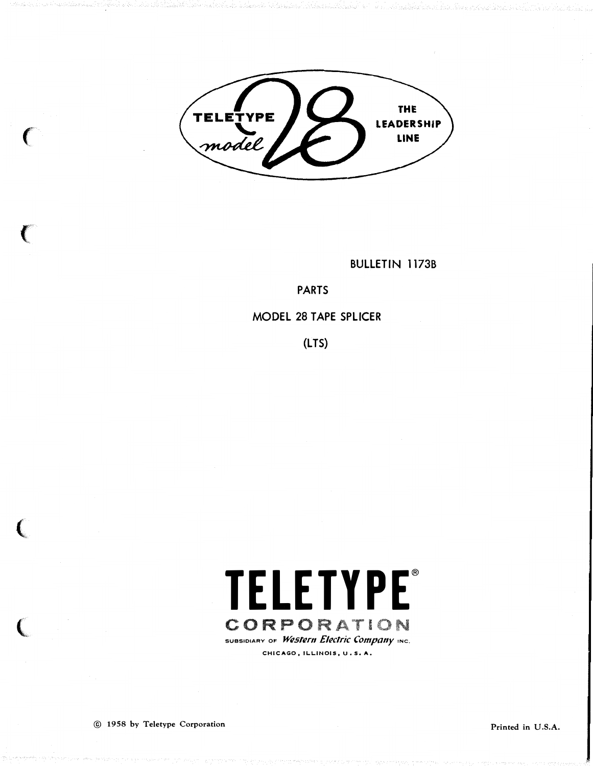THE TEI LEADERSHIP LINE model.

BULLETIN 1173B

**PARTS** 

### MODEL 28 TAPE SPLICER

 $(LTS)$ 



**6 1958 by Teletype Corporation** 

Printed in U.S.A.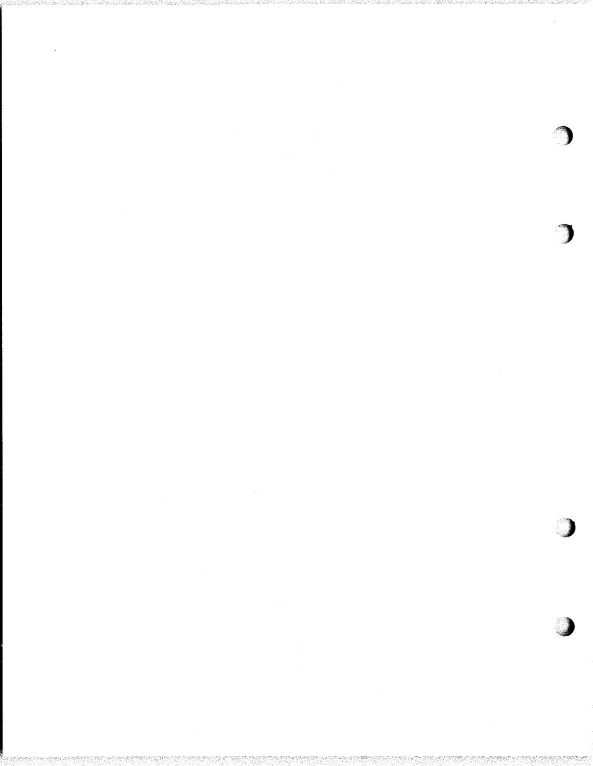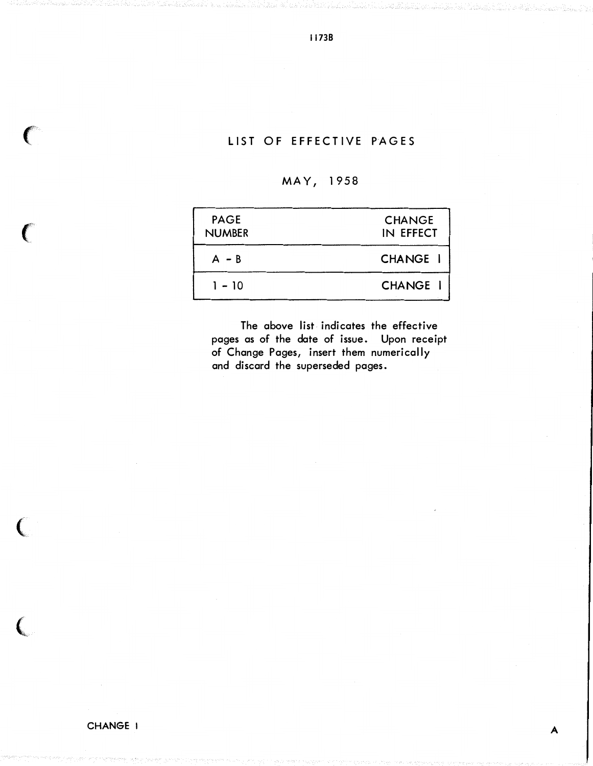# LIST OF EFFECTIVE PAGES

## MAY, 1958

| <b>PAGE</b><br><b>NUMBER</b> | <b>CHANGE</b><br>IN EFFECT |
|------------------------------|----------------------------|
| $A - B$                      | <b>CHANGE I</b>            |
| $1 - 10$                     | <b>CHANGE</b>              |

The above list indicates the effective pages as of the date of issue. Upon receipt of Change Pages, insert them numerically and discard the superseded pages.

A

11738

**CONTRACTOR**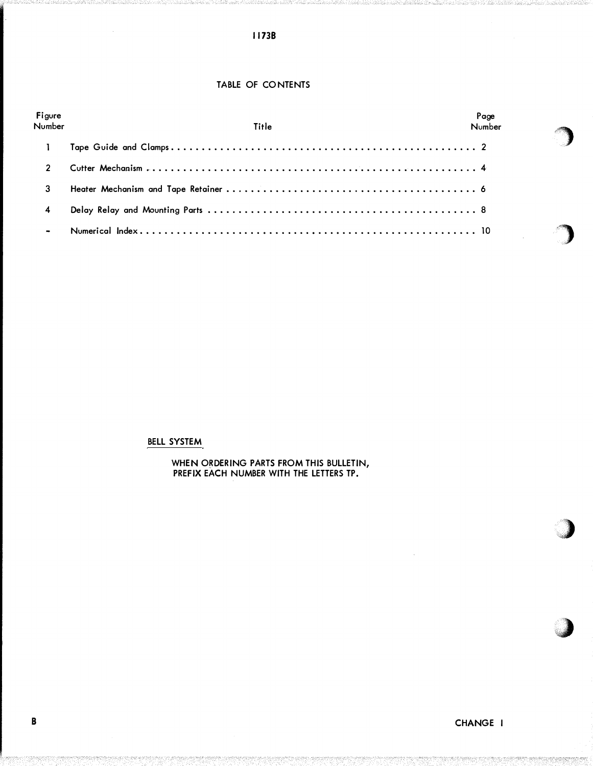#### TABLE OF CONTENTS

| Figure<br>Number | Title | Page<br>Number |  |
|------------------|-------|----------------|--|
|                  |       |                |  |
| $\mathcal{P}$    |       |                |  |
| 3                |       |                |  |
|                  |       |                |  |
|                  |       |                |  |

BELL SYSTEM

WHEN ORDERING PARTS FROM THIS BULLETIN, PREFIX EACH NUMBER WITH THE LETTERS TP.

 $\big)$ 

)

 $\, \,$ 

J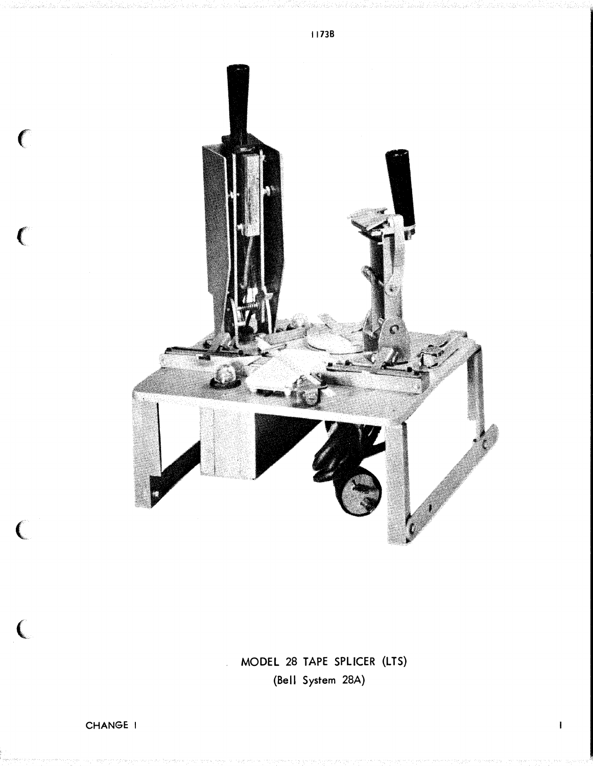

MODEL 28 TAPE SPLICER (LTS) (Bell System 28A)

 $\overline{1}$ 

 $\big($ 

 $\overline{C}$ 

 $\overline{C}$ 

 $\overline{C}$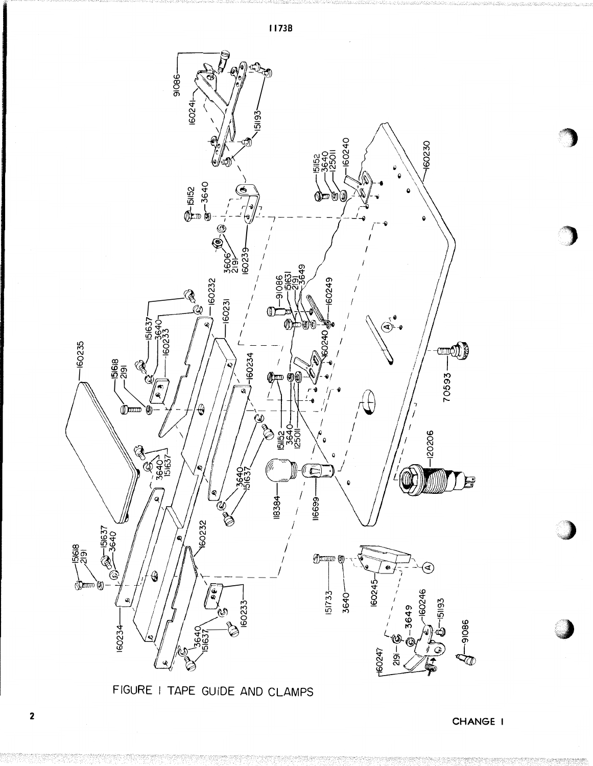

CHANGE I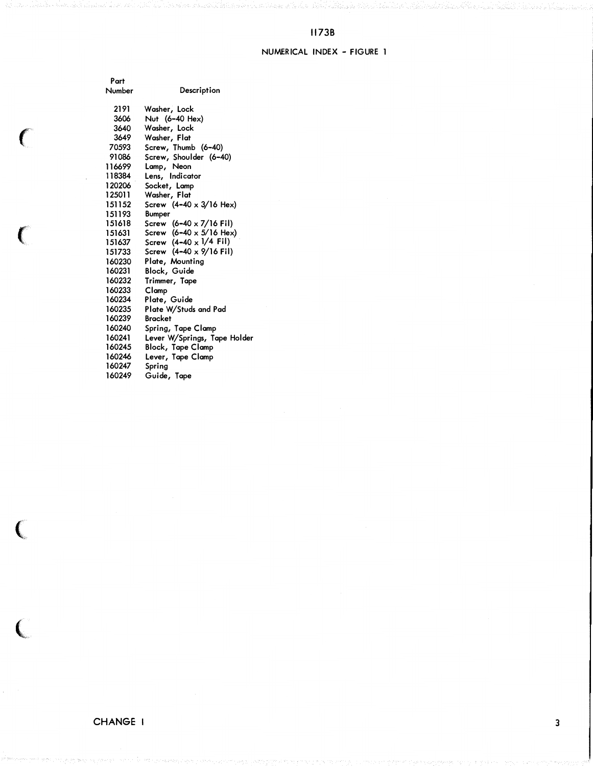## NUMERICAL INDEX - FIGURE 1

| Part   |                                       |
|--------|---------------------------------------|
| Number | Description                           |
|        |                                       |
| 2191   | Washer, Lock                          |
| 3606   | Nut (6-40 Hex)                        |
| 3640   | Washer, Lock                          |
| 3649   | Washer, Flat                          |
| 70593  | Screw, Thumb (6-40)                   |
| 91086  | Screw, Shoulder (6-40)                |
| 116699 | Lamp, Neon                            |
| 118384 | Lens, Indicator                       |
| 120206 | Socket, Lamp                          |
| 125011 | Washer, Flat                          |
| 151152 | Screw $(4-40 \times 3/16$ Hex)        |
| 151193 | <b>Bumper</b>                         |
| 151618 | Screw $(6-40 \times 7/16$ Fil)        |
| 151631 | Screw $(6-40 \times 5/16$ Hex)        |
| 151637 | Screw $(4-40 \times 1/4 \text{ Fil})$ |
| 151733 | Screw $(4-40 \times 9/16$ Fil)        |
| 160230 | Plate, Mounting                       |
| 160231 | Block, Guide                          |
| 160232 | Trimmer, Tape                         |
| 160233 | Clamp                                 |
| 160234 | Plate, Guide                          |
| 160235 | Plate W/Studs and Pad                 |
| 160239 | Bracket                               |
| 160240 | Spring, Tape Clamp                    |
| 160241 | Lever W/Springs, Tape Holder          |
| 160245 | <b>Block, Tape Clamp</b>              |
| 160246 | Lever, Tape Clamp                     |
| 160247 | Spring                                |
| 160249 | Guide, Tape                           |

€

3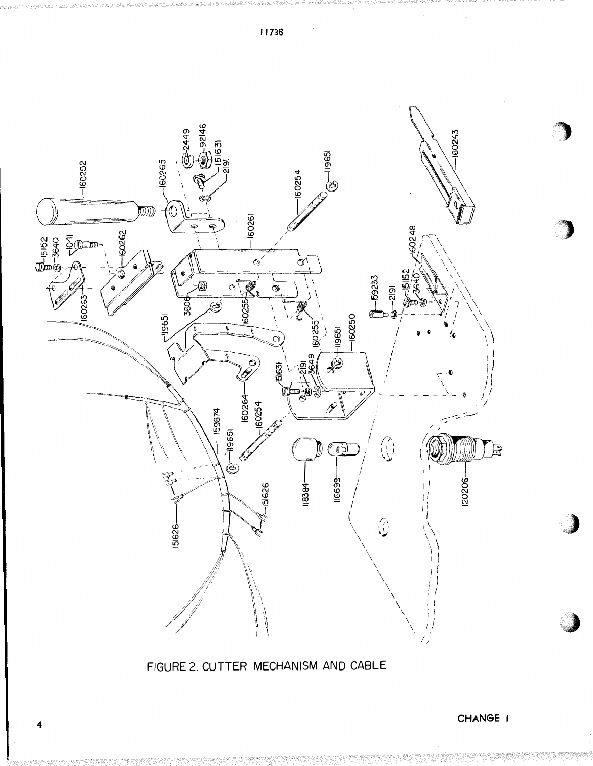

FIGURE 2. CUTTER MECHANISM AND CABLE

**II73B** 

 $\overline{\phantom{a}}$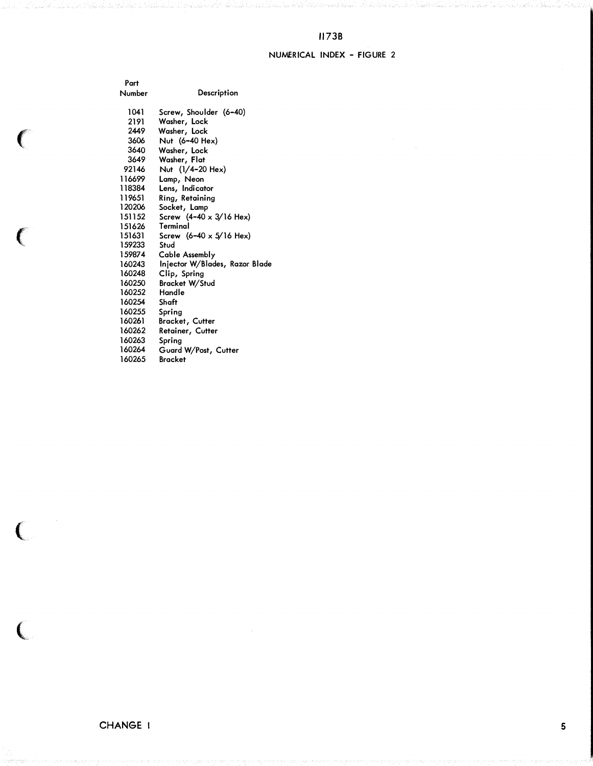#### NUMERICAL INDEX - FIGURE 2

| rart   |                                |
|--------|--------------------------------|
| Number | Description                    |
| 1041   | Screw, Shoulder (6–40)         |
| 2191   | Washer, Lock                   |
| 2449   | Washer, Lock                   |
| 3606   | Nut (6-40 Hex)                 |
| 3640   | Washer, Lock                   |
| 3649   | Washer, Flat                   |
| 92146  | Nut (1/4-20 Hex)               |
| 116699 | Lamp, Neon                     |
| 118384 | Lens, Indicator                |
| 119651 | Ring, Retaining                |
| 120206 | Socket, Lamp                   |
| 151152 | Screw $(4-40 \times 3/16$ Hex) |
| 151626 | Terminal                       |
| 151631 | Screw $(6-40 \times 5/16$ Hex) |
| 159233 | Stud                           |
| 159874 | Cable Assembly                 |
| 160243 | Injector W/Blades, Razor Blade |
| 160248 | Clip, Spring                   |
| 160250 | Bracket W/Stud                 |
| 160252 | Handle                         |
| 160254 | Shaft                          |
| 160255 | Spring                         |
| 160261 | Bracket, Cutter                |
| 160262 | Retainer, Cutter               |
| 160263 | Spring                         |
| 160264 | Guard W/Post, Cutter           |
| 160265 | <b>Bracket</b>                 |
|        |                                |

 $\big($ 

 $\epsilon$ 

(

 $\epsilon$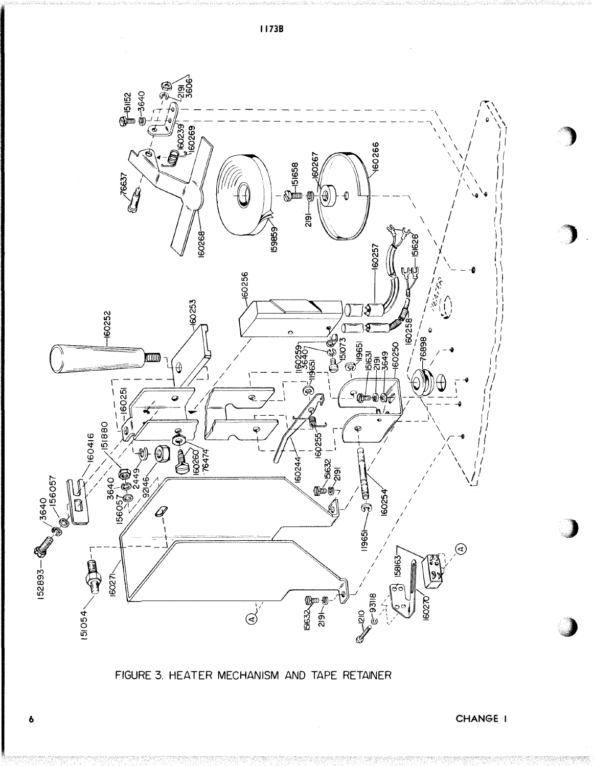

FIGURE 3. HEATER MECHANISM AND TAPE RETAINER

 $\boldsymbol{6}$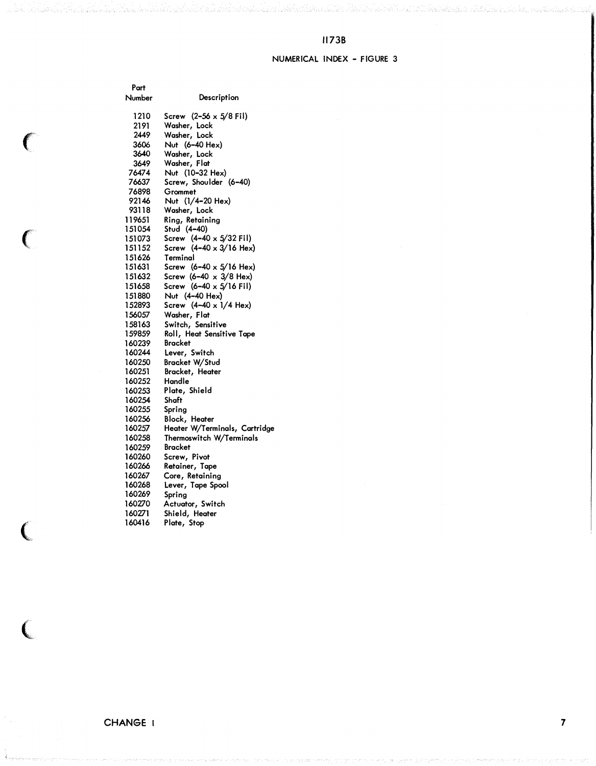#### NUMERICAL INDEX - FIGURE 3

| Part   |                                |
|--------|--------------------------------|
| Number | Description                    |
|        |                                |
| 1210   | Screw $(2-56 \times 5/8)$ Fil) |
| 2191   | Washer, Lock                   |
| 2449   | Washer, Lock                   |
| 3606   | Nut (6-40 Hex)                 |
| 3640   | Washer, Lock                   |
| 3649   | Washer, Flat                   |
| 76474  | Nut (10-32 Hex)                |
| 76637  | Screw, Shoulder (6-40)         |
| 76898  | Grommet                        |
| 92146  | Nut (1/4-20 Hex)               |
| 93118  | Washer, Lock                   |
| 119651 | Ring, Retaining                |
| 151054 | Stud (4-40)                    |
| 151073 | Screw $(4-40 \times 5/32$ Fil) |
| 151152 | Screw $(4-40 \times 3/16$ Hex) |
| 151626 | Terminal                       |
| 151631 | Screw $(6-40 \times 5/16$ Hex) |
| 151632 | Screw (6-40 $\times$ 3/8 Hex)  |
| 151658 | Screw $(6-40 \times 5/16$ Fil) |
| 151880 | Nut (4-40 Hex)                 |
| 152893 | Screw $(4-40 \times 1/4$ Hex)  |
| 156057 | Washer, Flat                   |
| 158163 | Switch, Sensitive              |
| 159859 | Roll, Heat Sensitive Tape      |
| 160239 | Bracket                        |
| 160244 | Lever, Switch                  |
| 160250 | Bracket W/Stud                 |
| 160251 | Bracket, Heater                |
| 160252 | Handle                         |
| 160253 | Plate, Shield                  |
| 160254 | Shaft                          |
| 160255 | Spring                         |
| 160256 | Block, Heater                  |
| 160257 | Heater W/Terminals, Cartridge  |
| 160258 | Thermoswitch W/Terminals       |
| 160259 | Bracket                        |
| 160260 | Screw, Pivot                   |
| 160266 | Retainer, Tape                 |
| 160267 | Core, Retaining                |
| 160268 | Lever, Tape Spool              |
| 160269 | Spring                         |
| 160270 | Actuator, Switch               |
| 160271 | Shield, Heater                 |
| 160416 | Plate, Stop                    |

 $\epsilon$ 

C

 $\big($ 

 $\ell$  $\blacksquare$ 

CHANGE I

7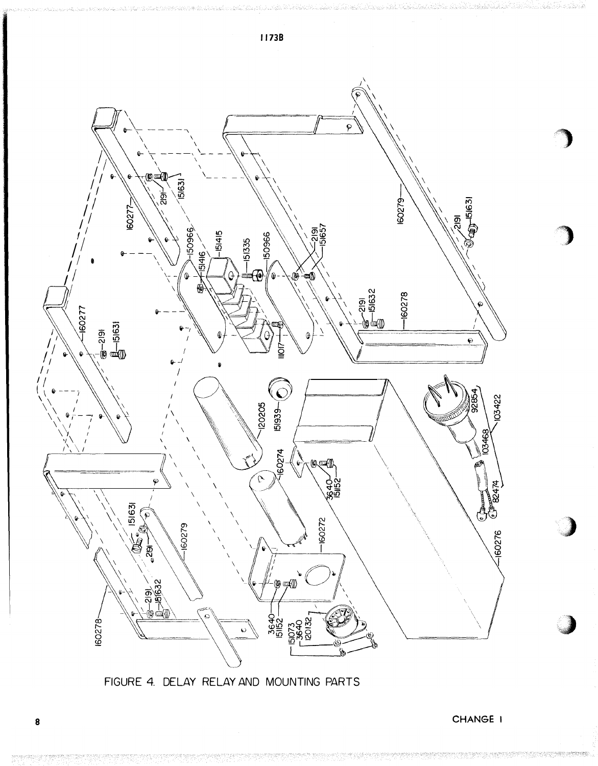

FIGURE 4. DELAY RELAY AND MOUNTING PARTS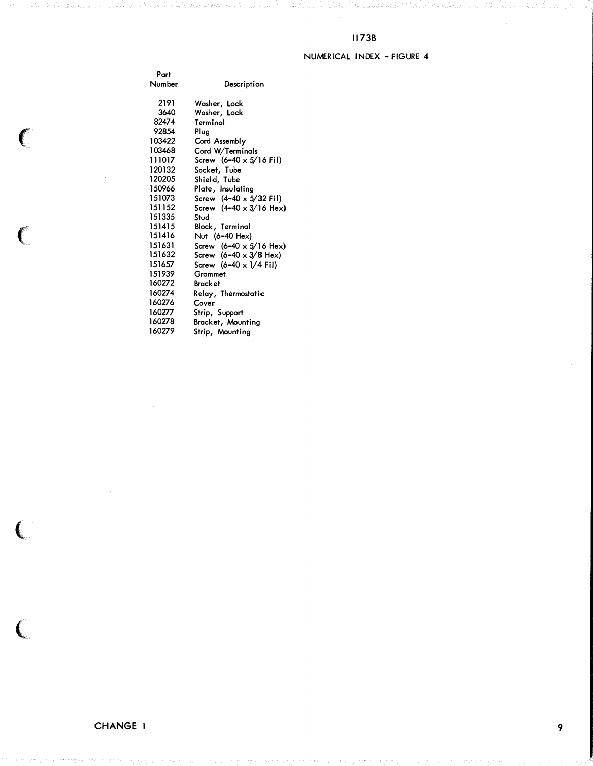#### NUMERICAL INDEX - FIGURE 4

| Part   |                                       |
|--------|---------------------------------------|
| Number | Description                           |
| 2191   | Washer, Lock                          |
| 3640   | Washer, Lock                          |
| 82474  | Terminal                              |
| 92854  | Plug                                  |
| 103422 | Cord Assembly                         |
| 103468 | Cord W/Terminals                      |
| 111017 | Screw $(6-40 \times 5/16$ Fil)        |
| 120132 | Socket, Tube                          |
| 120205 | Shield, Tube                          |
| 150966 | Plate, Insulating                     |
| 151073 | Screw $(4-40 \times 5/32$ Fil)        |
| 151152 | Screw $(4-40 \times 3/16$ Hex)        |
| 151335 | Stud                                  |
| 151415 | Block, Terminal                       |
| 151416 | Nut (6-40 Hex)                        |
| 151631 | Screw $(6-40 \times 5/16$ Hex)        |
| 151632 | Screw $(6-40 \times 3/8$ Hex)         |
| 151657 | Screw $(6-40 \times 1/4 \text{ Fil})$ |
| 151939 | Grommet                               |
| 160272 | Bracket                               |
| 160274 | Relay, Thermostatic                   |
| 160276 | Cover                                 |
| 160277 | Strip, Support                        |
| 160278 | Bracket, Mounting                     |
| 160279 | Strip, Mounting                       |

 $\epsilon$ 

 $\epsilon$ 

(

 $\big($